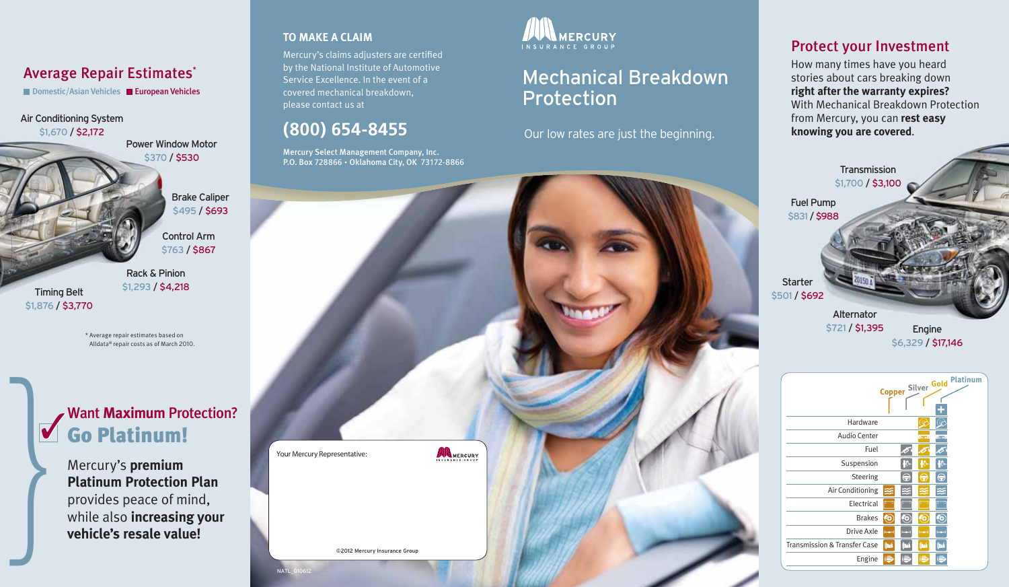### Average Repair Estimates\*

■ Domestic/Asian Vehicles ■ European Vehicles

Air Conditioning System \$1,670 / \$2,172

Power Window Motor \$370 / \$530

> Brake Caliper \$495 **/ \$693**

Control Arm \$763 / \$867

Rack & Pinion \$1,293 / \$4,218 Timing Belt \$1,876 / \$3,770

> \* Average repair estimates based on Alldata® repair costs as of March 2010.

# Want Maximum Protection?<br> **Go Platinum!**

Want Maximum Pro<br> **Go Platinum!**<br>
Mercury's premium<br>
Platinum Protection<br>
provides peace of m<br>
while also increasin<br>
vehicle's resale valu **Platinum Protection Plan**  provides peace of mind, while also **increasing your vehicle's resale value!**

#### **TO MAKE A CLAIM**

Mercury's claims adjusters are certified by the National Institute of Automotive Service Excellence. In the event of a covered mechanical breakdown, please contact us at

# **(800) 654-8455**

Mercury Select Management Company, Inc. P.O. Box 728866 • Oklahoma City, OK 73172-8866



# Mechanical Breakdown Protection

Our low rates are just the beginning.



### Protect your Investment

How many times have you heard stories about cars breaking down **right after the warranty expires?**  With Mechanical Breakdown Protection from Mercury, you can **rest easy knowing you are covered**.



\$6,329 / \$17,146

|                                         |               |               |               |              | Copper Silver Gold Platinum |  |
|-----------------------------------------|---------------|---------------|---------------|--------------|-----------------------------|--|
| Hardware                                |               |               |               |              |                             |  |
| Audio Center                            |               |               | <b>Show</b> 1 | <b>Share</b> |                             |  |
| Fuel                                    |               |               |               |              |                             |  |
| Suspension                              |               | Ш             | 40.           | سرارا        |                             |  |
| Steering                                |               | €             | ⊜             | €            |                             |  |
| Air Conditioning                        |               |               | ≋             |              |                             |  |
| Electrical                              |               |               |               |              |                             |  |
| <b>Brakes</b>                           | 6,            | O             | ю             | Ю            |                             |  |
| Drive Axle                              | $ 1 - 2  = 1$ | <b>Import</b> | <b>Jones</b>  | live-        |                             |  |
| <b>Transmission &amp; Transfer Case</b> | há            | ∥™            | <b>Ibik</b>   | m            |                             |  |
| Engine                                  | E             |               | łĒ.           |              |                             |  |
|                                         |               |               |               |              |                             |  |